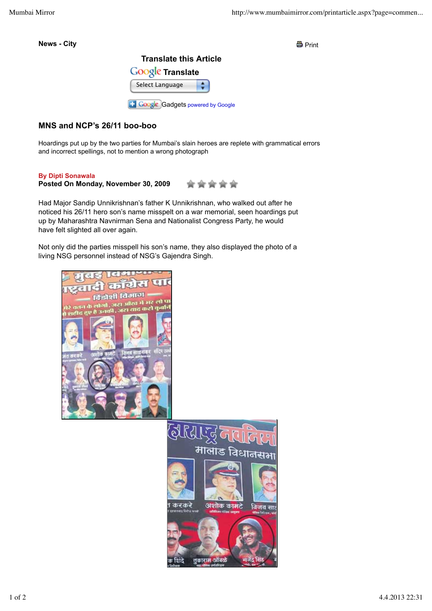**News - City** Print





## **MNS and NCP's 26/11 boo-boo**

Hoardings put up by the two parties for Mumbai's slain heroes are replete with grammatical errors and incorrect spellings, not to mention a wrong photograph

## **By Dipti Sonawala**

## **Posted On Monday, November 30, 2009**

Had Major Sandip Unnikrishnan's father K Unnikrishnan, who walked out after he noticed his 26/11 hero son's name misspelt on a war memorial, seen hoardings put up by Maharashtra Navnirman Sena and Nationalist Congress Party, he would have felt slighted all over again.

Not only did the parties misspell his son's name, they also displayed the photo of a living NSG personnel instead of NSG's Gajendra Singh.